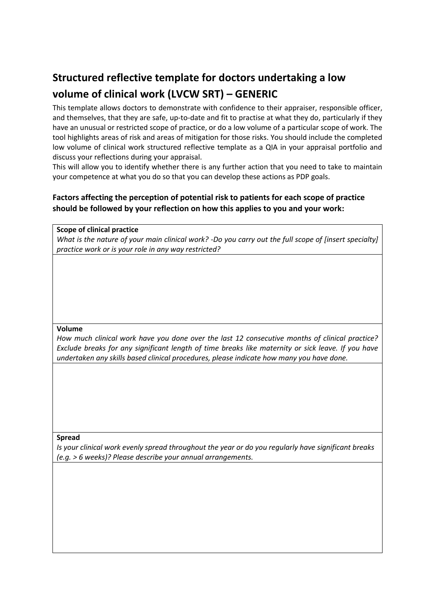# **Structured reflective template for doctors undertaking a low volume of clinical work (LVCW SRT) – GENERIC**

This template allows doctors to demonstrate with confidence to their appraiser, responsible officer, and themselves, that they are safe, up-to-date and fit to practise at what they do, particularly if they have an unusual or restricted scope of practice, or do a low volume of a particular scope of work. The tool highlights areas of risk and areas of mitigation for those risks. You should include the completed low volume of clinical work structured reflective template as a QIA in your appraisal portfolio and discuss your reflections during your appraisal.

This will allow you to identify whether there is any further action that you need to take to maintain your competence at what you do so that you can develop these actions as PDP goals.

# **Factors affecting the perception of potential risk to patients for each scope of practice should be followed by your reflection on how this applies to you and your work:**

# **Scope of clinical practice**

*What is the nature of your main clinical work? ‐Do you carry out the full scope of [insert specialty] practice work or is your role in any way restricted?*

# **Volume**

*How much clinical work have you done over the last 12 consecutive months of clinical practice? Exclude breaks for any significant length of time breaks like maternity or sick leave. If you have undertaken any skills based clinical procedures, please indicate how many you have done.*

# **Spread**

*Is your clinical work evenly spread throughout the year or do you regularly have significant breaks (e.g. > 6 weeks)? Please describe your annual arrangements.*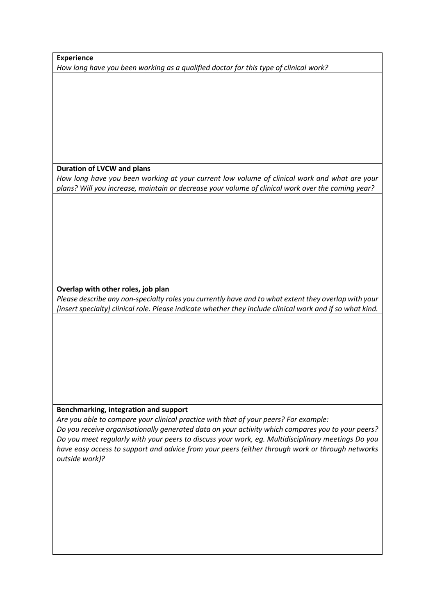# **Experience**

*How long have you been working as a qualified doctor for this type of clinical work?*

# **Duration of LVCW and plans**

*How long have you been working at your current low volume of clinical work and what are your plans? Will you increase, maintain or decrease your volume of clinical work over the coming year?*

# **Overlap with other roles, job plan**

*Please describe any non‐specialty roles you currently have and to what extent they overlap with your [insert specialty] clinical role. Please indicate whether they include clinical work and if so what kind.*

# **Benchmarking, integration and support**

*Are you able to compare your clinical practice with that of your peers? For example: Do you receive organisationally generated data on your activity which compares you to your peers? Do you meet regularly with your peers to discuss your work, eg. Multidisciplinary meetings Do you have easy access to support and advice from your peers (either through work or through networks outside work)?*